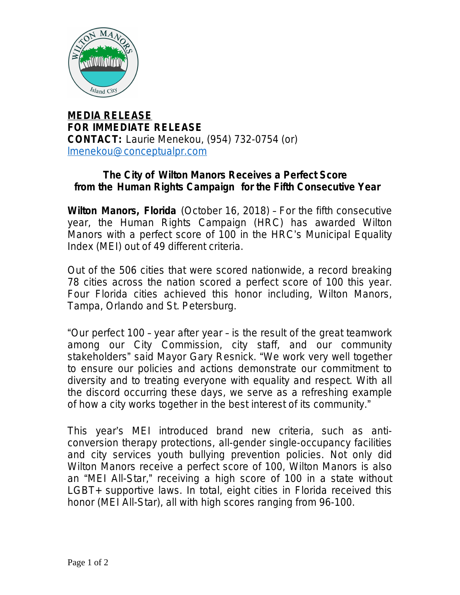

**MEDIA RELEASE FOR IMMEDIATE RELEASE CONTACT:** Laurie Menekou, (954) 732-0754 (or) [lmenekou@conceptualpr.com](mailto:lmenekou@conceptualpr.com)

## **The City of Wilton Manors Receives a Perfect Score from the Human Rights Campaign for the Fifth Consecutive Year**

**Wilton Manors, Florida** (October 16, 2018) – For the fifth consecutive year, the Human Rights Campaign (HRC) has awarded Wilton Manors with a perfect score of 100 in the HRC's Municipal Equality Index (MEI) out of 49 different criteria.

Out of the 506 cities that were scored nationwide, a record breaking 78 cities across the nation scored a perfect score of 100 this year. Four Florida cities achieved this honor including, Wilton Manors, Tampa, Orlando and St. Petersburg.

"Our perfect 100 – year after year – is the result of the great teamwork among our City Commission, city staff, and our community stakeholders" said Mayor Gary Resnick. "We work very well together to ensure our policies and actions demonstrate our commitment to diversity and to treating everyone with equality and respect. With all the discord occurring these days, we serve as a refreshing example of how a city works together in the best interest of its community."

This year's MEI introduced brand new criteria, such as anticonversion therapy protections, all-gender single-occupancy facilities and city services youth bullying prevention policies. Not only did Wilton Manors receive a perfect score of 100, Wilton Manors is also an "MEI All-Star," receiving a high score of 100 in a state without LGBT+ supportive laws. In total, eight cities in Florida received this honor (MEI All-Star), all with high scores ranging from 96-100.